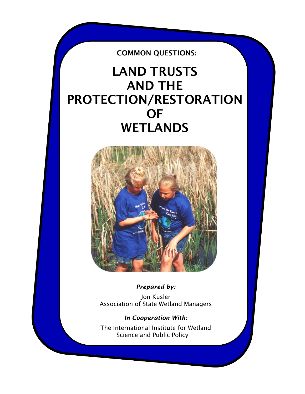COMMON QUESTIONS:

# LAND TRUSTS AND THE PROTECTION/RESTORATION OF WETLANDS



*Prepared by:* 

Jon Kusler Association of State Wetland Managers

*In Cooperation With:* 

The International Institute for Wetland Science and Public Policy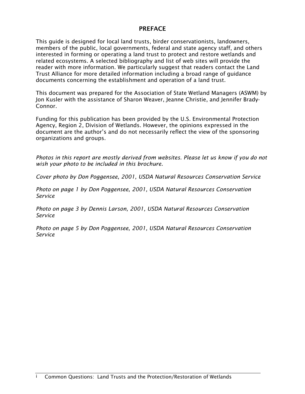#### PREFACE

This guide is designed for local land trusts, birder conservationists, landowners, members of the public, local governments, federal and state agency staff, and others interested in forming or operating a land trust to protect and restore wetlands and related ecosystems. A selected bibliography and list of web sites will provide the reader with more information. We particularly suggest that readers contact the Land Trust Alliance for more detailed information including a broad range of guidance documents concerning the establishment and operation of a land trust.

This document was prepared for the Association of State Wetland Managers (ASWM) by Jon Kusler with the assistance of Sharon Weaver, Jeanne Christie, and Jennifer Brady-Connor.

Funding for this publication has been provided by the U.S. Environmental Protection Agency, Region 2, Division of Wetlands. However, the opinions expressed in the document are the author's and do not necessarily reflect the view of the sponsoring organizations and groups.

*Photos in this report are mostly derived from websites. Please let us know if you do not wish your photo to be included in this brochure.* 

*Cover photo by Don Poggensee, 2001, USDA Natural Resources Conservation Service* 

*Photo on page 1 by Don Poggensee, 2001, USDA Natural Resources Conservation Service* 

*Photo on page 3 by Dennis Larson, 2001, USDA Natural Resources Conservation Service* 

*Photo on page 5 by Don Poggensee, 2001, USDA Natural Resources Conservation Service*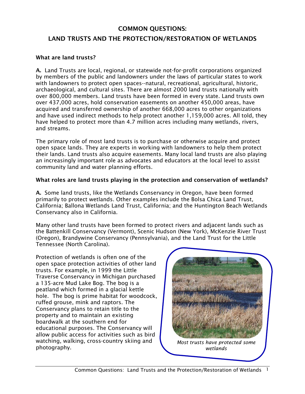# COMMON QUESTIONS:

# LAND TRUSTS AND THE PROTECTION/RESTORATION OF WETLANDS

#### What are land trusts?

A. Land Trusts are local, regional, or statewide not-for-profit corporations organized by members of the public and landowners under the laws of particular states to work with landowners to protect open spaces--natural, recreational, agricultural, historic, archaeological, and cultural sites. There are almost 2000 land trusts nationally with over 800,000 members. Land trusts have been formed in every state. Land trusts own over 437,000 acres, hold conservation easements on another 450,000 areas, have acquired and transferred ownership of another 668,000 acres to other organizations and have used indirect methods to help protect another 1,159,000 acres. All told, they have helped to protect more than 4.7 million acres including many wetlands, rivers, and streams.

The primary role of most land trusts is to purchase or otherwise acquire and protect open space lands. They are experts in working with landowners to help them protect their lands. Land trusts also acquire easements. Many local land trusts are also playing an increasingly important role as advocates and educators at the local level to assist community land and water planning efforts.

#### What roles are land trusts playing in the protection and conservation of wetlands?

A. Some land trusts, like the Wetlands Conservancy in Oregon, have been formed primarily to protect wetlands. Other examples include the Bolsa Chica Land Trust, California; Ballona Wetlands Land Trust, California; and the Huntington Beach Wetlands Conservancy also in California.

Many other land trusts have been formed to protect rivers and adjacent lands such as the Battenkill Conservancy (Vermont), Scenic Hudson (New York), McKenzie River Trust (Oregon), Brandywine Conservancy (Pennsylvania), and the Land Trust for the Little Tennessee (North Carolina).

Protection of wetlands is often one of the open space protection activities of other land trusts. For example, in 1999 the Little Traverse Conservancy in Michigan purchased a 135-acre Mud Lake Bog. The bog is a peatland which formed in a glacial kettle hole. The bog is prime habitat for woodcock, ruffed grouse, mink and raptors. The Conservancy plans to retain title to the property and to maintain an existing boardwalk at the southern end for educational purposes. The Conservancy will allow public access for activities such as bird watching, walking, cross-country skiing and photography.

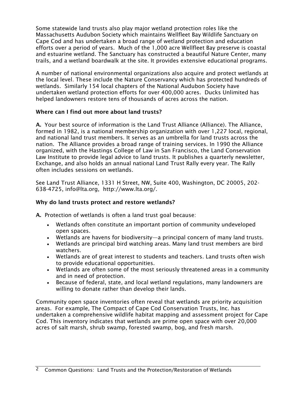Some statewide land trusts also play major wetland protection roles like the Massachusetts Audubon Society which maintains Wellfleet Bay Wildlife Sanctuary on Cape Cod and has undertaken a broad range of wetland protection and education efforts over a period of years. Much of the 1,000 acre Wellfleet Bay preserve is coastal and estuarine wetland. The Sanctuary has constructed a beautiful Nature Center, many trails, and a wetland boardwalk at the site. It provides extensive educational programs.

A number of national environmental organizations also acquire and protect wetlands at the local level. These include the Nature Conservancy which has protected hundreds of wetlands. Similarly 154 local chapters of the National Audubon Society have undertaken wetland protection efforts for over 400,000 acres. Ducks Unlimited has helped landowners restore tens of thousands of acres across the nation.

## Where can I find out more about land trusts?

A. Your best source of information is the Land Trust Alliance (Alliance). The Alliance, formed in 1982, is a national membership organization with over 1,227 local, regional, and national land trust members. It serves as an umbrella for land trusts across the nation. The Alliance provides a broad range of training services. In 1990 the Alliance organized, with the Hastings College of Law in San Francisco, the Land Conservation Law Institute to provide legal advice to land trusts. It publishes a quarterly newsletter, Exchange, and also holds an annual national Land Trust Rally every year. The Rally often includes sessions on wetlands.

See Land Trust Alliance, 1331 H Street, NW, Suite 400, Washington, DC 20005, 202- 638-4725, info@lta.org, http://www.lta.org/.

## Why do land trusts protect and restore wetlands?

A. Protection of wetlands is often a land trust goal because:

- Wetlands often constitute an important portion of community undeveloped open spaces.
- Wetlands are havens for biodiversity—a principal concern of many land trusts.
- Wetlands are principal bird watching areas. Many land trust members are bird watchers.
- Wetlands are of great interest to students and teachers. Land trusts often wish to provide educational opportunities.
- Wetlands are often some of the most seriously threatened areas in a community and in need of protection.
- Because of federal, state, and local wetland regulations, many landowners are willing to donate rather than develop their lands.

Community open space inventories often reveal that wetlands are priority acquisition areas. For example, The Compact of Cape Cod Conservation Trusts, Inc. has undertaken a comprehensive wildlife habitat mapping and assessment project for Cape Cod. This inventory indicates that wetlands are prime open space with over 20,000 acres of salt marsh, shrub swamp, forested swamp, bog, and fresh marsh.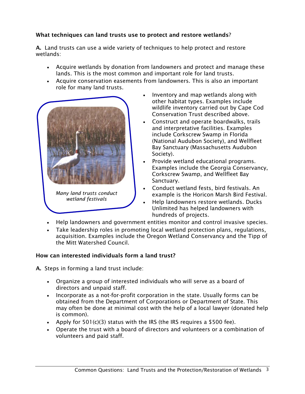# What techniques can land trusts use to protect and restore wetlands?

A. Land trusts can use a wide variety of techniques to help protect and restore wetlands:

- Acquire wetlands by donation from landowners and protect and manage these lands. This is the most common and important role for land trusts.
- Acquire conservation easements from landowners. This is also an important role for many land trusts.



- Inventory and map wetlands along with other habitat types. Examples include wildlife inventory carried out by Cape Cod Conservation Trust described above.
- Construct and operate boardwalks, trails and interpretative facilities. Examples include Corkscrew Swamp in Florida (National Audubon Society), and Wellfleet Bay Sanctuary (Massachusetts Audubon Society).
- Provide wetland educational programs. Examples include the Georgia Conservancy, Corkscrew Swamp, and Wellfleet Bay Sanctuary.
- Conduct wetland fests, bird festivals. An example is the Horicon Marsh Bird Festival.
- Help landowners restore wetlands. Ducks Unlimited has helped landowners with hundreds of projects.
- Help landowners and government entities monitor and control invasive species.
- Take leadership roles in promoting local wetland protection plans, regulations, acquisition. Examples include the Oregon Wetland Conservancy and the Tipp of the Mitt Watershed Council.

# How can interested individuals form a land trust?

A. Steps in forming a land trust include:

- Organize a group of interested individuals who will serve as a board of directors and unpaid staff.
- Incorporate as a not-for-profit corporation in the state. Usually forms can be obtained from the Department of Corporations or Department of State. This may often be done at minimal cost with the help of a local lawyer (donated help is common).
- Apply for  $501(c)(3)$  status with the IRS (the IRS requires a \$500 fee).
- Operate the trust with a board of directors and volunteers or a combination of volunteers and paid staff.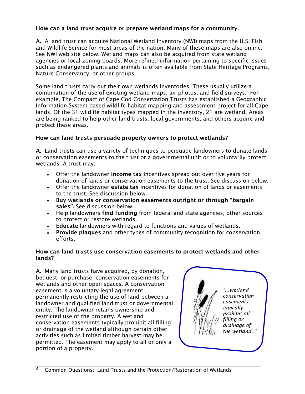## How can a land trust acquire or prepare wetland maps for a community.

A. A land trust can acquire National Wetland Inventory (NWI) maps from the U.S. Fish and Wildlife Service for most areas of the nation. Many of these maps are also online. See NWI web site below. Wetland maps can also be acquired from state wetland agencies or local zoning boards. More refined information pertaining to specific issues such as endangered plants and animals is often available from State Heritage Programs, Nature Conservancy, or other groups.

Some land trusts carry out their own wetlands inventories. These usually utilize a combination of the use of existing wetland maps, air photos, and field surveys. For example, The Compact of Cape Cod Conservation Trusts has established a Geographic Information System based wildlife habitat mapping and assessment project for all Cape lands. Of the 31 wildlife habitat types mapped in the inventory, 21 are wetland. Areas are being ranked to help other land trusts, local governments, and others acquire and protect these areas.

## How can land trusts persuade property owners to protect wetlands?

A. Land trusts can use a variety of techniques to persuade landowners to donate lands or conservation easements to the trust or a governmental unit or to voluntarily protect wetlands. A trust may:

- Offer the landowner **income tax** incentives spread out over five years for donation of lands or conservation easements to the trust. See discussion below.
- Offer the landowner estate tax incentives for donation of lands or easements to the trust. See discussion below.
- Buy wetlands or conservation easements outright or through "bargain sales". See discussion below.
- Help landowners find funding from federal and state agencies, other sources to protect or restore wetlands.
- Educate landowners with regard to functions and values of wetlands.
- Provide plaques and other types of community recognition for conservation efforts.

## How can land trusts use conservation easements to protect wetlands and other lands?

A. Many land trusts have acquired, by donation, bequest, or purchase, conservation easements for wetlands and other open spaces. A conservation easement is a voluntary legal agreement permanently restricting the use of land between a landowner and qualified land trust or governmental entity. The landowner retains ownership and restricted use of the property. A wetland conservation easements typically prohibit all filling or drainage of the wetland although certain other activities such as limited timber harvest may be permitted. The easement may apply to all or only a portion of a property.

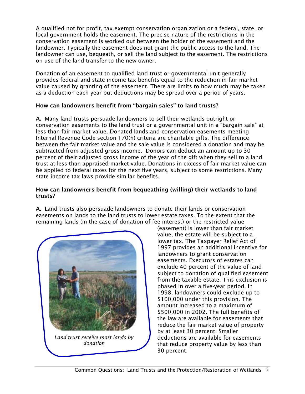A qualified not for profit, tax exempt conservation organization or a federal, state, or local government holds the easement. The precise nature of the restrictions in the conservation easement is worked out between the holder of the easement and the landowner. Typically the easement does not grant the public access to the land. The landowner can use, bequeath, or sell the land subject to the easement. The restrictions on use of the land transfer to the new owner.

Donation of an easement to qualified land trust or governmental unit generally provides federal and state income tax benefits equal to the reduction in fair market value caused by granting of the easement. There are limits to how much may be taken as a deduction each year but deductions may be spread over a period of years.

## How can landowners benefit from "bargain sales" to land trusts?

A. Many land trusts persuade landowners to sell their wetlands outright or conservation easements to the land trust or a governmental unit in a "bargain sale" at less than fair market value. Donated lands and conservation easements meeting Internal Revenue Code section 170(h) criteria are charitable gifts. The difference between the fair market value and the sale value is considered a donation and may be subtracted from adjusted gross income. Donors can deduct an amount up to 30 percent of their adjusted gross income of the year of the gift when they sell to a land trust at less than appraised market value. Donations in excess of fair market value can be applied to federal taxes for the next five years, subject to some restrictions. Many state income tax laws provide similar benefits.

## How can landowners benefit from bequeathing (willing) their wetlands to land trusts?

A. Land trusts also persuade landowners to donate their lands or conservation easements on lands to the land trusts to lower estate taxes. To the extent that the remaining lands (in the case of donation of fee interest) or the restricted value



(easement) is lower than fair market value, the estate will be subject to a lower tax. The Taxpayer Relief Act of 1997 provides an additional incentive for landowners to grant conservation easements. Executors of estates can exclude 40 percent of the value of land subject to donation of qualified easement from the taxable estate. This exclusion is phased in over a five-year period. In 1998, landowners could exclude up to \$100,000 under this provision. The amount increased to a maximum of \$500,000 in 2002. The full benefits of the law are available for easements that reduce the fair market value of property by at least 30 percent. Smaller deductions are available for easements that reduce property value by less than 30 percent.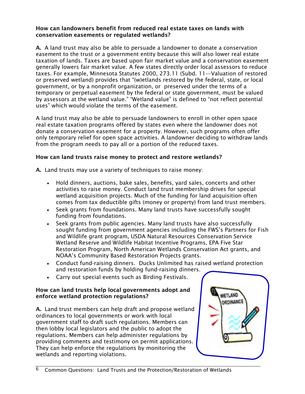#### How can landowners benefit from reduced real estate taxes on lands with conservation easements or regulated wetlands?

A. A land trust may also be able to persuade a landowner to donate a conservation easement to the trust or a government entity because this will also lower real estate taxation of lands. Taxes are based upon fair market value and a conservation easement generally lowers fair market value. A few states directly order local assessors to reduce taxes. For example, Minnesota Statutes 2000, 273.11 (Subd. 11—Valuation of restored or preserved wetland) provides that "(w)etlands restored by the federal, state, or local government, or by a nonprofit organization, or preserved under the terms of a temporary or perpetual easement by the federal or state government, must be valued by assessors at the wetland value." "Wetland value" is defined to "not reflect potential uses" which would violate the terms of the easement.

A land trust may also be able to persuade landowners to enroll in other open space real estate taxation programs offered by states even where the landowner does not donate a conservation easement for a property. However, such programs often offer only temporary relief for open space activities. A landowner deciding to withdraw lands from the program needs to pay all or a portion of the reduced taxes.

## How can land trusts raise money to protect and restore wetlands?

A. Land trusts may use a variety of techniques to raise money:

- Hold dinners, auctions, bake sales, benefits, yard sales, concerts and other activities to raise money. Conduct land trust membership drives for special wetland acquisition projects. Much of the funding for land acquisition often comes from tax deductible gifts (money or property) from land trust members.
- Seek grants from foundations. Many land trusts have successfully sought funding from foundations.
- Seek grants from public agencies. Many land trusts have also successfully sought funding from government agencies including the FWS's Partners for Fish and Wildlife grant program, USDA Natural Resources Conservation Service Wetland Reserve and Wildlife Habitat Incentive Programs, EPA Five Star Restoration Program, North American Wetlands Conservation Act grants, and NOAA's Community Based Restoration Projects grants.
- Conduct fund-raising dinners. Ducks Unlimited has raised wetland protection and restoration funds by holding fund-raising dinners.
- Carry out special events such as Birding Festivals.

#### How can land trusts help local governments adopt and enforce wetland protection regulations?

A. Land trust members can help draft and propose wetland ordinances to local governments or work with local government staff to draft such regulations. Members can then lobby local legislators and the public to adopt the regulations. Members can help administer regulations by providing comments and testimony on permit applications. They can help enforce the regulations by monitoring the wetlands and reporting violations.

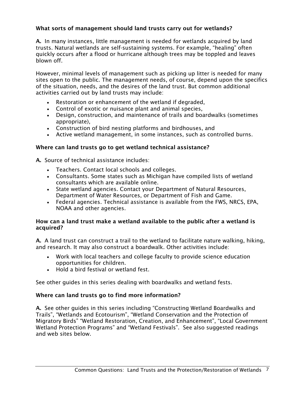# What sorts of management should land trusts carry out for wetlands?

A. In many instances, little management is needed for wetlands acquired by land trusts. Natural wetlands are self-sustaining systems. For example, "healing" often quickly occurs after a flood or hurricane although trees may be toppled and leaves blown off.

However, minimal levels of management such as picking up litter is needed for many sites open to the public. The management needs, of course, depend upon the specifics of the situation, needs, and the desires of the land trust. But common additional activities carried out by land trusts may include:

- Restoration or enhancement of the wetland if degraded,
- Control of exotic or nuisance plant and animal species,
- Design, construction, and maintenance of trails and boardwalks (sometimes appropriate),
- Construction of bird nesting platforms and birdhouses, and
- Active wetland management, in some instances, such as controlled burns.

#### Where can land trusts go to get wetland technical assistance?

A. Source of technical assistance includes:

- Teachers. Contact local schools and colleges.
- Consultants. Some states such as Michigan have compiled lists of wetland consultants which are available online.
- State wetland agencies. Contact your Department of Natural Resources, Department of Water Resources, or Department of Fish and Game.
- Federal agencies. Technical assistance is available from the FWS, NRCS, EPA, NOAA and other agencies.

#### How can a land trust make a wetland available to the public after a wetland is acquired?

A. A land trust can construct a trail to the wetland to facilitate nature walking, hiking, and research. It may also construct a boardwalk. Other activities include:

- Work with local teachers and college faculty to provide science education opportunities for children.
- Hold a bird festival or wetland fest.

See other guides in this series dealing with boardwalks and wetland fests.

## Where can land trusts go to find more information?

A. See other guides in this series including "Constructing Wetland Boardwalks and Trails", "Wetlands and Ecotourism", "Wetland Conservation and the Protection of Migratory Birds" "Wetland Restoration, Creation, and Enhancement", "Local Government Wetland Protection Programs" and "Wetland Festivals". See also suggested readings and web sites below.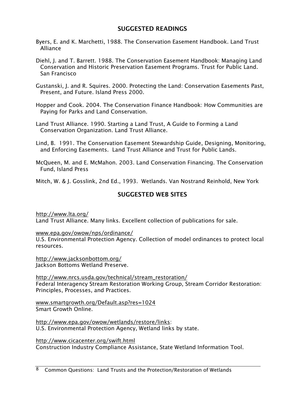## SUGGESTED READINGS

- Byers, E. and K. Marchetti, 1988. The Conservation Easement Handbook. Land Trust Alliance
- Diehl, J. and T. Barrett. 1988. The Conservation Easement Handbook: Managing Land Conservation and Historic Preservation Easement Programs. Trust for Public Land. San Francisco
- Gustanski, J. and R. Squires. 2000. Protecting the Land: Conservation Easements Past, Present, and Future. Island Press 2000.

Hopper and Cook. 2004. The Conservation Finance Handbook: How Communities are Paying for Parks and Land Conservation.

Land Trust Alliance. 1990. Starting a Land Trust, A Guide to Forming a Land Conservation Organization. Land Trust Alliance.

Lind, B. 1991. The Conservation Easement Stewardship Guide, Designing, Monitoring, and Enforcing Easements. Land Trust Alliance and Trust for Public Lands.

McQueen, M. and E. McMahon. 2003. Land Conservation Financing. The Conservation Fund, Island Press

Mitch, W. & J. Gosslink, 2nd Ed., 1993. Wetlands. Van Nostrand Reinhold, New York

## SUGGESTED WEB SITES

http://www.lta.org/ Land Trust Alliance. Many links. Excellent collection of publications for sale.

www.epa.gov/owow/nps/ordinance/

U.S. Environmental Protection Agency. Collection of model ordinances to protect local resources.

http://www.jacksonbottom.org/ Jackson Bottoms Wetland Preserve.

http://www.nrcs.usda.gov/technical/stream\_restoration/ Federal Interagency Stream Restoration Working Group, Stream Corridor Restoration: Principles, Processes, and Practices.

www.smartgrowth.org/Default.asp?res=1024 Smart Growth Online.

http://www.epa.gov/owow/wetlands/restore/links: U.S. Environmental Protection Agency, Wetland links by state.

http://www.cicacenter.org/swift.html Construction Industry Compliance Assistance, State Wetland Information Tool.